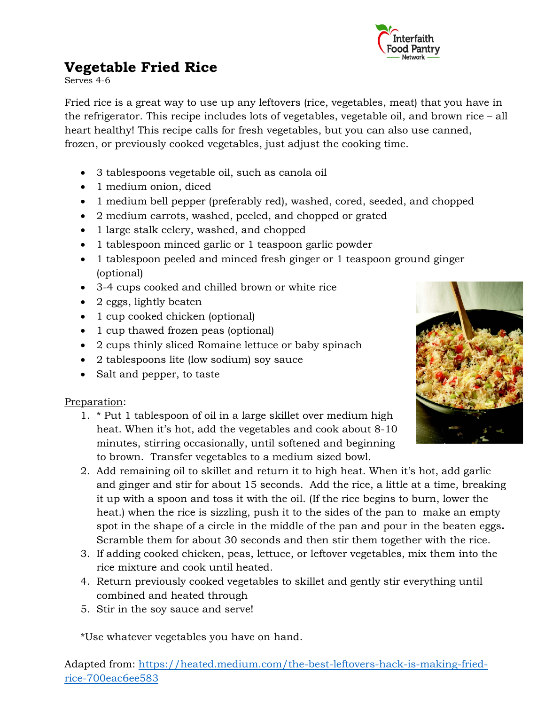

# **Vegetable Fried Rice**

Serves 4-6

Fried rice is a great way to use up any leftovers (rice, vegetables, meat) that you have in the refrigerator. This recipe includes lots of vegetables, vegetable oil, and brown rice – all heart healthy! This recipe calls for fresh vegetables, but you can also use canned, frozen, or previously cooked vegetables, just adjust the cooking time.

- 3 tablespoons vegetable oil, such as canola oil
- 1 medium onion, diced
- 1 medium bell pepper (preferably red), washed, cored, seeded, and chopped
- 2 medium carrots, washed, peeled, and chopped or grated
- 1 large stalk celery, washed, and chopped
- 1 tablespoon minced garlic or 1 teaspoon garlic powder
- 1 tablespoon peeled and minced fresh ginger or 1 teaspoon ground ginger (optional)
- 3-4 cups cooked and chilled brown or white rice
- 2 eggs, lightly beaten
- 1 cup cooked chicken (optional)
- 1 cup thawed frozen peas (optional)
- 2 cups thinly sliced Romaine lettuce or baby spinach
- 2 tablespoons lite (low sodium) soy sauce
- Salt and pepper, to taste

### Preparation:

- 1. \* Put 1 tablespoon of oil in a large skillet over medium high heat. When it's hot, add the vegetables and cook about 8-10 minutes, stirring occasionally, until softened and beginning to brown. Transfer vegetables to a medium sized bowl.
- 2. Add remaining oil to skillet and return it to high heat. When it's hot, add garlic and ginger and stir for about 15 seconds. Add the rice, a little at a time, breaking it up with a spoon and toss it with the oil. (If the rice begins to burn, lower the heat.) when the rice is sizzling, push it to the sides of the pan to make an empty spot in the shape of a circle in the middle of the pan and pour in the beaten eggs**.** Scramble them for about 30 seconds and then stir them together with the rice.
- 3. If adding cooked chicken, peas, lettuce, or leftover vegetables, mix them into the rice mixture and cook until heated.
- 4. Return previously cooked vegetables to skillet and gently stir everything until combined and heated through
- 5. Stir in the soy sauce and serve!

\*Use whatever vegetables you have on hand.